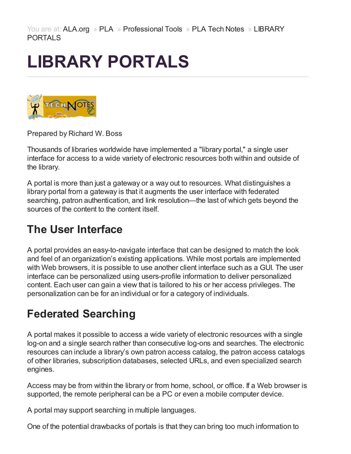# LIBRARY PORTALS



Prepared by Richard W. Boss

Thousands of libraries worldwide have implemented a "library portal," a single user interface for access to a wide variety of electronic resources both within and outside of the library.

A portal is more than just a gateway or a way out to resources. What distinguishes a library portal from a gateway is that it augments the user interface with federated searching, patron authentication, and link resolution—the last of which gets beyond the sources of the content to the content itself.

#### The User Interface

A portal provides an easy-to-navigate interface that can be designed to match the look and feel of an organization's existing applications. While most portals are implemented with Web browsers, it is possible to use another client interface such as a GUI. The user interface can be personalized using users-profile information to deliver personalized content. Each user can gain a view that is tailored to his or her access privileges. The personalization can be for an individual or for a category of individuals.

### Federated Searching

A portal makes it possible to access a wide variety of electronic resources with a single log-on and a single search rather than consecutive log-ons and searches. The electronic resources can include a library's own patron access catalog, the patron access catalogs of other libraries, subscription databases, selected URLs, and even specialized search engines.

Access may be from within the library or from home, school, or office. If a Web browser is supported, the remote peripheral can be a PC or even a mobile computer device.

A portal may support searching in multiple languages.

One of the potential drawbacks of portals is that they can bring too much information to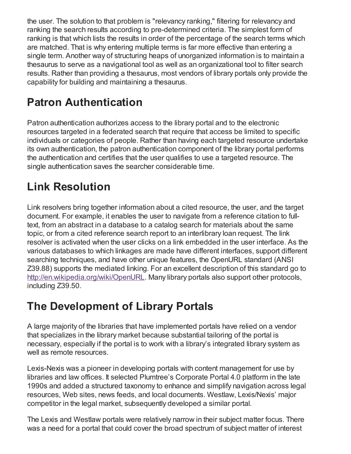the user. The solution to that problem is "relevancy ranking," filtering for relevancy and ranking the search results according to pre-determined criteria. The simplest form of ranking is that which lists the results in order of the percentage of the search terms which are matched. That is why entering multiple terms is far more effective than entering a single term. Another way of structuring heaps of unorganized information is to maintain a thesaurus to serve as a navigational tool as well as an organizational tool to filter search results. Rather than providing a thesaurus, most vendors of library portals only provide the capability for building and maintaining a thesaurus.

## Patron Authentication

Patron authentication authorizes access to the library portal and to the electronic resources targeted in a federated search that require that access be limited to specific individuals or categories of people. Rather than having each targeted resource undertake its own authentication, the patron authentication component of the library portal performs the authentication and certifies that the user qualifies to use a targeted resource. The single authentication saves the searcher considerable time.

## Link Resolution

Link resolvers bring together information about a cited resource, the user, and the target document. For example, it enables the user to navigate from a reference citation to fulltext, from an abstract in a database to a catalog search for materials about the same topic, or from a cited reference search report to an interlibrary loan request. The link resolver is activated when the user clicks on a link embedded in the user interface. As the various databases to which linkages are made have different interfaces, support different searching techniques, and have other unique features, the OpenURL standard (ANSI Z39.88) supports the mediated linking. For an excellent description of this standard go to <http://en.wikipedia.org/wiki/OpenURL>. Many library portals also support other protocols, including Z39.50.

### The Development of Library Portals

A large majority of the libraries that have implemented portals have relied on a vendor that specializes in the library market because substantial tailoring of the portal is necessary, especially if the portal is to work with a library's integrated library system as well as remote resources.

Lexis-Nexis was a pioneer in developing portals with content management for use by libraries and law offices. It selected Plumtree's Corporate Portal 4.0 platform in the late 1990s and added a structured taxonomy to enhance and simplify navigation across legal resources, Web sites, news feeds, and local documents. Westlaw, Lexis/Nexis' major competitor in the legal market, subsequently developed a similar portal.

The Lexis and Westlaw portals were relatively narrow in their subject matter focus. There was a need for a portal that could cover the broad spectrum of subject matter of interest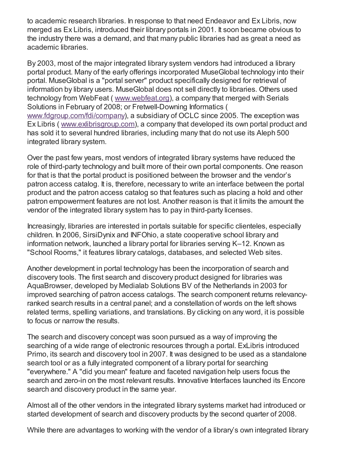to academic research libraries. In response to that need Endeavor and Ex Libris, now merged as Ex Libris, introduced their library portals in 2001. It soon became obvious to the industry there was a demand, and that many public libraries had as great a need as academic libraries.

By 2003, most of the major integrated library system vendors had introduced a library portal product. Many of the early offerings incorporated MuseGlobal technology into their portal. MuseGlobal is a "portal server" product specifically designed for retrieval of information by library users. MuseGlobal does not sell directly to libraries. Others used technology from WebFeat ( [www.webfeat.org](http://www.webfeat.org/)), a company that merged with Serials Solutions in February of 2008; or Fretwell-Downing Informatics ( [www.fdgroup.com/fdi/company](http://www.fdgroup.com/fdi/company/)), a subsidiary of OCLC since 2005. The exception was Ex Libris ( [www.exlibrisgroup.com](http://www.exlibrisgroup.com/)), a company that developed its own portal product and has sold it to several hundred libraries, including many that do not use its Aleph 500 integrated library system.

Over the past few years, most vendors of integrated library systems have reduced the role of third-party technology and built more of their own portal components. One reason for that is that the portal product is positioned between the browser and the vendor's patron access catalog. It is, therefore, necessary to write an interface between the portal product and the patron access catalog so that features such as placing a hold and other patron empowerment features are not lost. Another reason is that it limits the amount the vendor of the integrated library system has to pay in third-party licenses.

Increasingly, libraries are interested in portals suitable for specific clienteles, especially children. In 2006, SirsiDynix and INFOhio, a state cooperative school library and information network, launched a library portal for libraries serving K–12. Known as "School Rooms," it features library catalogs, databases, and selected Web sites.

Another development in portal technology has been the incorporation of search and discovery tools. The first search and discovery product designed for libraries was AquaBrowser, developed by Medialab Solutions BV of the Netherlands in 2003 for improved searching of patron access catalogs. The search component returns relevancyranked search results in a central panel; and a constellation of words on the left shows related terms, spelling variations, and translations. By clicking on any word, it is possible to focus or narrow the results.

The search and discovery concept was soon pursued as a way of improving the searching of a wide range of electronic resources through a portal. ExLibris introduced Primo, its search and discovery tool in 2007. It was designed to be used as a standalone search tool or as a fully integrated component of a library portal for searching "everywhere." A "did you mean" feature and faceted navigation help users focus the search and zero-in on the most relevant results. Innovative Interfaces launched its Encore search and discovery product in the same year.

Almost all of the other vendors in the integrated library systems market had introduced or started development of search and discovery products by the second quarter of 2008.

While there are advantages to working with the vendor of a library's own integrated library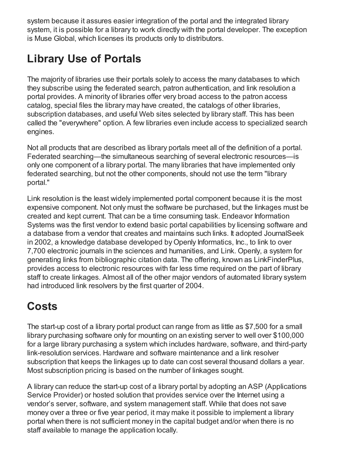system because it assures easier integration of the portal and the integrated library system, it is possible for a library to work directly with the portal developer. The exception is Muse Global, which licenses its products only to distributors.

## Library Use of Portals

The majority of libraries use their portals solely to access the many databases to which they subscribe using the federated search, patron authentication, and link resolution a portal provides. A minority of libraries offer very broad access to the patron access catalog, special files the library may have created, the catalogs of other libraries, subscription databases, and useful Web sites selected by library staff. This has been called the "everywhere" option. A few libraries even include access to specialized search engines.

Not all products that are described as library portals meet all of the definition of a portal. Federated searching—the simultaneous searching of several electronic resources—is only one component of a library portal. The many libraries that have implemented only federated searching, but not the other components, should not use the term "library portal."

Link resolution is the least widely implemented portal component because it is the most expensive component. Not only must the software be purchased, but the linkages must be created and kept current. That can be a time consuming task. Endeavor Information Systems was the first vendor to extend basic portal capabilities by licensing software and a database from a vendor that creates and maintains such links. It adopted JournalSeek in 2002, a knowledge database developed by Openly Informatics, Inc., to link to over 7,700 electronic journals in the sciences and humanities, and Link. Openly, a system for generating links from bibliographic citation data. The offering, known as LinkFinderPlus, provides access to electronic resources with far less time required on the part of library staff to create linkages. Almost all of the other major vendors of automated library system had introduced link resolvers by the first quarter of 2004.

### **Costs**

The start-up cost of a library portal product can range from as little as \$7,500 for a small library purchasing software only for mounting on an existing server to well over \$100,000 for a large library purchasing a system which includes hardware, software, and third-party link-resolution services. Hardware and software maintenance and a link resolver subscription that keeps the linkages up to date can cost several thousand dollars a year. Most subscription pricing is based on the number of linkages sought.

A library can reduce the start-up cost of a library portal by adopting an ASP (Applications Service Provider) or hosted solution that provides service over the Internet using a vendor's server, software, and system management staff. While that does not save money over a three or five year period, it may make it possible to implement a library portal when there is not sufficient money in the capital budget and/or when there is no staff available to manage the application locally.